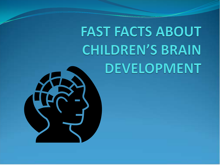## **FAST FACTS ABOUT CHILDREN'S BRAIN DEVELOPMENT**

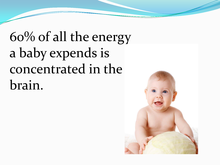60% of all the energy a baby expends is concentrated in the brain.

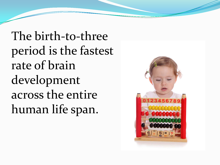The birth-to-three period is the fastest rate of brain development across the entire human life span.

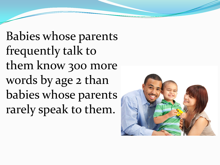Babies whose parents frequently talk to them know 300 more words by age 2 than babies whose parents rarely speak to them.

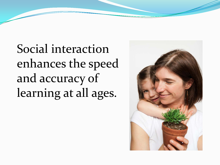Social interaction enhances the speed and accuracy of learning at all ages.

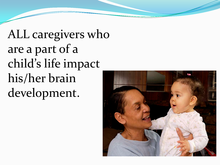ALL caregivers who are a part of a child's life impact his/her brain development.

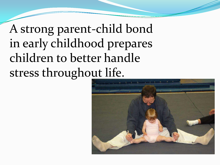A strong parent-child bond in early childhood prepares children to better handle stress throughout life.

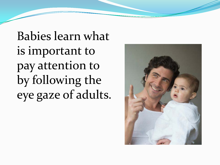Babies learn what is important to pay attention to by following the eye gaze of adults.

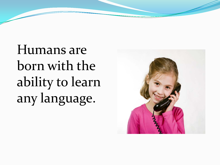Humans are born with the ability to learn any language.

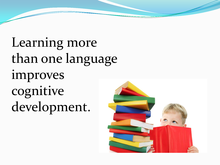Learning more than one language improves cognitive development.

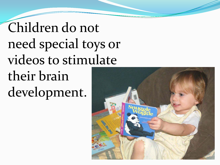Children do not need special toys or videos to stimulate their brain development.

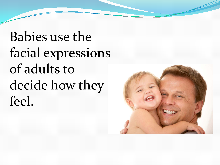Babies use the facial expressions of adults to decide how they feel.

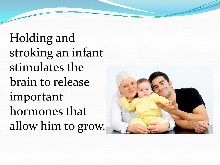Holding and stroking an infant stimulates the brain to release important hormones that allow him to grow.

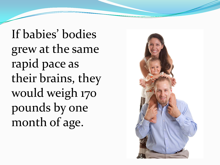If babies' bodies grew at the same rapid pace as their brains, they would weigh 170 pounds by one month of age.

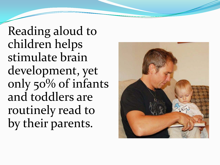Reading aloud to children helps stimulate brain development, yet only 50% of infants and toddlers are routinely read to by their parents.

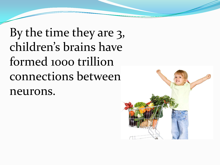By the time they are 3, children's brains have formed 1000 trillion connections between neurons.

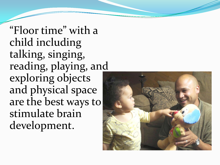"Floor time" with a child including talking, singing, reading, playing, and exploring objects and physical space are the best ways to stimulate brain development.